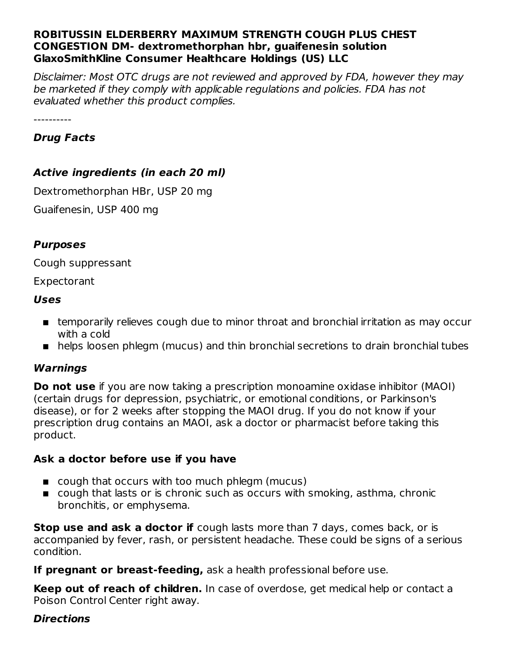#### **ROBITUSSIN ELDERBERRY MAXIMUM STRENGTH COUGH PLUS CHEST CONGESTION DM- dextromethorphan hbr, guaifenesin solution GlaxoSmithKline Consumer Healthcare Holdings (US) LLC**

Disclaimer: Most OTC drugs are not reviewed and approved by FDA, however they may be marketed if they comply with applicable regulations and policies. FDA has not evaluated whether this product complies.

----------

### **Drug Facts**

### **Active ingredients (in each 20 ml)**

Dextromethorphan HBr, USP 20 mg

Guaifenesin, USP 400 mg

### **Purposes**

Cough suppressant

#### Expectorant

### **Uses**

- temporarily relieves cough due to minor throat and bronchial irritation as may occur with a cold
- helps loosen phlegm (mucus) and thin bronchial secretions to drain bronchial tubes

### **Warnings**

**Do not use** if you are now taking a prescription monoamine oxidase inhibitor (MAOI) (certain drugs for depression, psychiatric, or emotional conditions, or Parkinson's disease), or for 2 weeks after stopping the MAOI drug. If you do not know if your prescription drug contains an MAOI, ask a doctor or pharmacist before taking this product.

### **Ask a doctor before use if you have**

- cough that occurs with too much phlegm (mucus)
- $\blacksquare$  cough that lasts or is chronic such as occurs with smoking, asthma, chronic bronchitis, or emphysema.

**Stop use and ask a doctor if** cough lasts more than 7 days, comes back, or is accompanied by fever, rash, or persistent headache. These could be signs of a serious condition.

**If pregnant or breast-feeding,** ask a health professional before use.

**Keep out of reach of children.** In case of overdose, get medical help or contact a Poison Control Center right away.

### **Directions**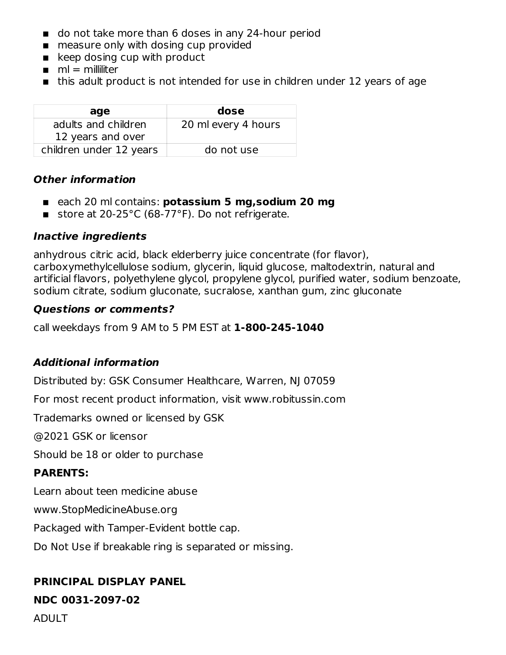- do not take more than 6 doses in any 24-hour period
- measure only with dosing cup provided
- keep dosing cup with product
- $\blacksquare$  ml = milliliter
- this adult product is not intended for use in children under 12 years of age

| age                     | dose                |
|-------------------------|---------------------|
| adults and children     | 20 ml every 4 hours |
| 12 years and over       |                     |
| children under 12 years | do not use          |

#### **Other information**

- each 20 ml contains: **potassium 5 mg,sodium 20 mg**
- store at 20-25°C (68-77°F). Do not refrigerate.

### **Inactive ingredients**

anhydrous citric acid, black elderberry juice concentrate (for flavor), carboxymethylcellulose sodium, glycerin, liquid glucose, maltodextrin, natural and artificial flavors, polyethylene glycol, propylene glycol, purified water, sodium benzoate, sodium citrate, sodium gluconate, sucralose, xanthan gum, zinc gluconate

### **Questions or comments?**

call weekdays from 9 AM to 5 PM EST at **1-800-245-1040**

### **Additional information**

Distributed by: GSK Consumer Healthcare, Warren, NJ 07059

For most recent product information, visit www.robitussin.com

Trademarks owned or licensed by GSK

@2021 GSK or licensor

Should be 18 or older to purchase

### **PARENTS:**

Learn about teen medicine abuse

www.StopMedicineAbuse.org

Packaged with Tamper-Evident bottle cap.

Do Not Use if breakable ring is separated or missing.

### **PRINCIPAL DISPLAY PANEL**

**NDC 0031-2097-02**

ADULT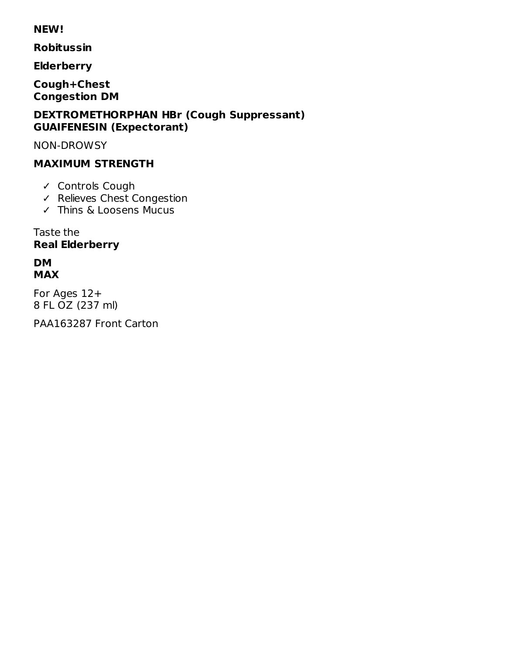#### **NEW!**

**Robitussin** 

**Elderberry** 

Cough+Chest **Congestion DM** 

#### **DEXTROMETHORPHAN HBr (Cough Suppressant) GUAIFENESIN (Expectorant)**

**NON-DROWSY** 

# **MAXIMUM STRENGTH**

- ✓ Controls Cough
- ← Relieves Chest Congestion
- $\checkmark$  Thins & Loosens Mucus

Taste the **Real Elderberry** 

### **DM MAX**

For Ages 12+ 8 FL OZ (237 ml)

PAA163287 Front Carton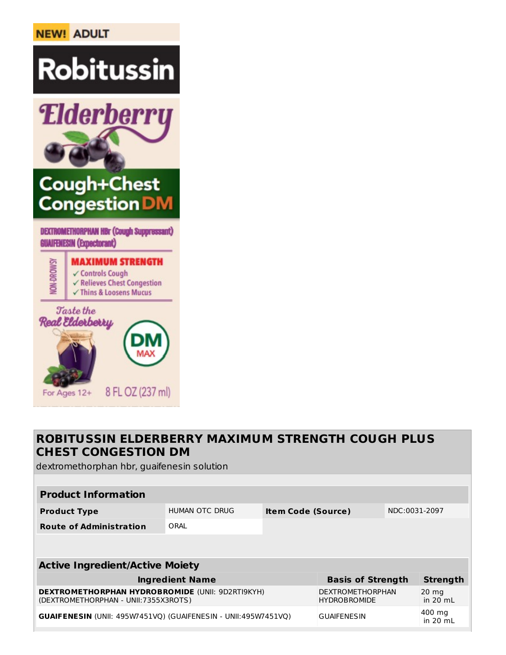# **NEW! ADULT**



## **ROBITUSSIN ELDERBERRY MAXIMUM STRENGTH COUGH PLUS CHEST CONGESTION DM**

dextromethorphan hbr, guaifenesin solution

| <b>Product Information</b>             |                |                           |                   |               |          |  |
|----------------------------------------|----------------|---------------------------|-------------------|---------------|----------|--|
| <b>Product Type</b>                    | HUMAN OTC DRUG | <b>Item Code (Source)</b> |                   | NDC:0031-2097 |          |  |
| <b>Route of Administration</b>         | ORAL           |                           |                   |               |          |  |
|                                        |                |                           |                   |               |          |  |
| <b>Active Ingredient/Active Moiety</b> |                |                           |                   |               |          |  |
| Ingradiant Nama                        |                |                           | Racic of Strongth |               | Stranath |  |

| <b>Ingredient Name</b>                                                                          | <b>Basis of Strength</b>                | Strength                      |
|-------------------------------------------------------------------------------------------------|-----------------------------------------|-------------------------------|
| <b>DEXTROMETHORPHAN HYDROBROMIDE (UNII: 9D2RTI9KYH)</b><br>(DEXTROMETHORPHAN - UNII:7355X3ROTS) | DEXTROMETHORPHAN<br><b>HYDROBROMIDE</b> | $20 \text{ mg}$<br>in $20$ mL |
| <b>GUAIFENESIN (UNII: 495W7451VO) (GUAIFENESIN - UNII:495W7451VO)</b>                           | <b>GUAIFENESIN</b>                      | 400 mg<br>in $20$ mL          |